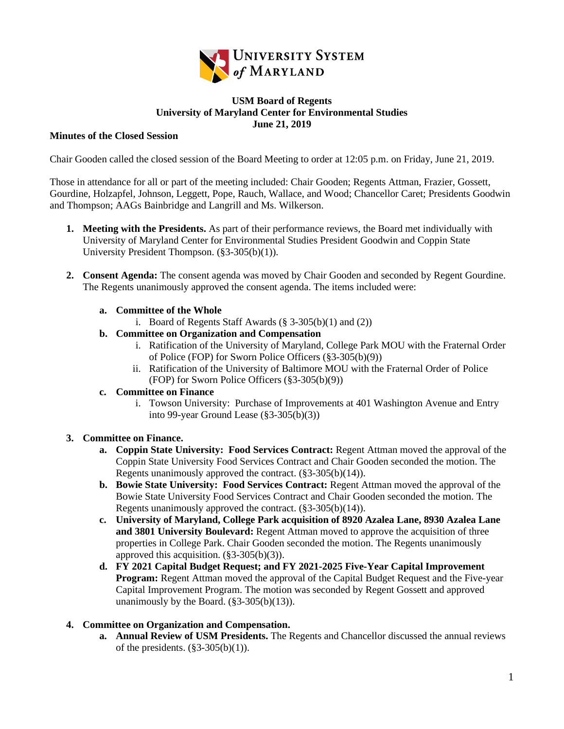

### **USM Board of Regents University of Maryland Center for Environmental Studies June 21, 2019**

### **Minutes of the Closed Session**

Chair Gooden called the closed session of the Board Meeting to order at 12:05 p.m. on Friday, June 21, 2019.

Those in attendance for all or part of the meeting included: Chair Gooden; Regents Attman, Frazier, Gossett, Gourdine, Holzapfel, Johnson, Leggett, Pope, Rauch, Wallace, and Wood; Chancellor Caret; Presidents Goodwin and Thompson; AAGs Bainbridge and Langrill and Ms. Wilkerson.

- **1. Meeting with the Presidents.** As part of their performance reviews, the Board met individually with University of Maryland Center for Environmental Studies President Goodwin and Coppin State University President Thompson. (§3-305(b)(1)).
- **2. Consent Agenda:** The consent agenda was moved by Chair Gooden and seconded by Regent Gourdine. The Regents unanimously approved the consent agenda. The items included were:

## **a. Committee of the Whole**

- i. Board of Regents Staff Awards  $(\S 3-305(b)(1)$  and  $(2))$
- **b. Committee on Organization and Compensation**
	- i. Ratification of the University of Maryland, College Park MOU with the Fraternal Order of Police (FOP) for Sworn Police Officers (§3-305(b)(9))
	- ii. Ratification of the University of Baltimore MOU with the Fraternal Order of Police (FOP) for Sworn Police Officers (§3-305(b)(9))

#### **c. Committee on Finance**

i. Towson University: Purchase of Improvements at 401 Washington Avenue and Entry into 99-year Ground Lease (§3-305(b)(3))

# **3. Committee on Finance.**

- **a. Coppin State University: Food Services Contract:** Regent Attman moved the approval of the Coppin State University Food Services Contract and Chair Gooden seconded the motion. The Regents unanimously approved the contract. (§3-305(b)(14)).
- **b. Bowie State University: Food Services Contract:** Regent Attman moved the approval of the Bowie State University Food Services Contract and Chair Gooden seconded the motion. The Regents unanimously approved the contract.  $(\S 3 - 305(b)(14))$ .
- **c. University of Maryland, College Park acquisition of 8920 Azalea Lane, 8930 Azalea Lane and 3801 University Boulevard:** Regent Attman moved to approve the acquisition of three properties in College Park. Chair Gooden seconded the motion. The Regents unanimously approved this acquisition. (§3-305(b)(3)).
- **d. FY 2021 Capital Budget Request; and FY 2021-2025 Five-Year Capital Improvement Program:** Regent Attman moved the approval of the Capital Budget Request and the Five-year Capital Improvement Program. The motion was seconded by Regent Gossett and approved unanimously by the Board.  $(\S 3 - 305(b)(13))$ .

# **4. Committee on Organization and Compensation.**

**a. Annual Review of USM Presidents.** The Regents and Chancellor discussed the annual reviews of the presidents.  $(\S 3 - 305(b)(1))$ .